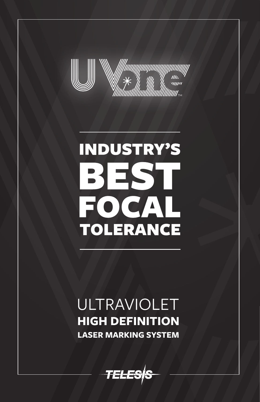

# **INDUSTRY'S** BES FOCAL **TOLERANCE**

### ULTRAVIOLET **HIGH DEFINITION LASER MARKING SYSTEM**

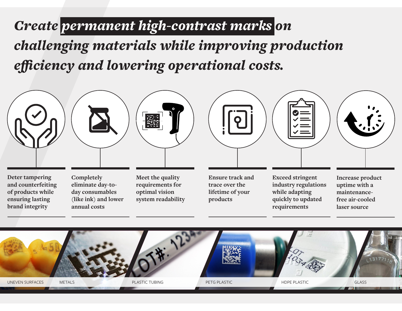## *Create permanent high-contrast marks on*

*challenging materials while improving production efficiency and lowering operational costs.*